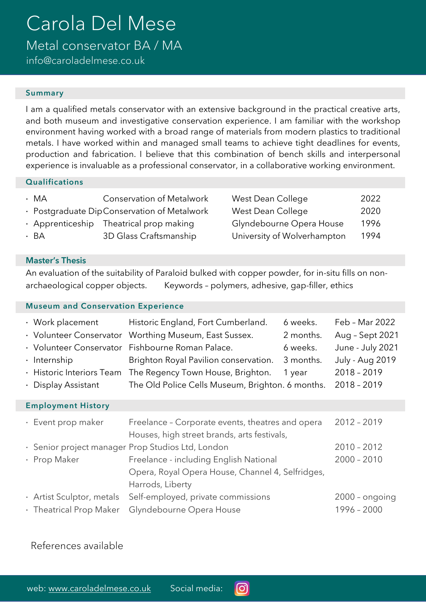# Carola Del Mese

Metal conservator BA / MA

info@caroladelmese.co.uk

#### Summary

I am a qualified metals conservator with an extensive background in the practical creative arts, and both museum and investigative conservation experience. I am familiar with the workshop environment having worked with a broad range of materials from modern plastics to traditional metals. I have worked within and managed small teams to achieve tight deadlines for events, production and fabrication. I believe that this combination of bench skills and interpersonal experience is invaluable as a professional conservator, in a collaborative working environment.

#### **Qualifications**

| $\cdot$ MA | <b>Conservation of Metalwork</b>              | West Dean College           | 2022 |
|------------|-----------------------------------------------|-----------------------------|------|
|            | · Postgraduate Dip Conservation of Metalwork  | West Dean College           | 2020 |
|            | $\cdot$ Apprenticeship Theatrical prop making | Glyndebourne Opera House    | 1996 |
| $\cdot$ BA | 3D Glass Craftsmanship                        | University of Wolverhampton | 1994 |
|            |                                               |                             |      |

### Master's Thesis

An evaluation of the suitability of Paraloid bulked with copper powder, for in-situ fills on nonarchaeological copper objects. Keywords – polymers, adhesive, gap-filler, ethics

#### Museum and Conservation Experience

| • Work placement                                  | Historic England, Fort Cumberland.               | 6 weeks.  | Feb - Mar 2022         |  |  |  |
|---------------------------------------------------|--------------------------------------------------|-----------|------------------------|--|--|--|
| · Volunteer Conservator                           | Worthing Museum, East Sussex.                    | 2 months. | Aug - Sept 2021        |  |  |  |
| · Volunteer Conservator                           | Fishbourne Roman Palace.                         | 6 weeks.  | June - July 2021       |  |  |  |
| $\cdot$ Internship                                | Brighton Royal Pavilion conservation.            | 3 months. | <b>July - Aug 2019</b> |  |  |  |
| · Historic Interiors Team                         | The Regency Town House, Brighton.                | 1 year    | $2018 - 2019$          |  |  |  |
| • Display Assistant                               | The Old Police Cells Museum, Brighton. 6 months. |           | $2018 - 2019$          |  |  |  |
| <b>Employment History</b>                         |                                                  |           |                        |  |  |  |
| $\cdot$ Event prop maker                          | $2012 - 2019$                                    |           |                        |  |  |  |
| · Senior project manager Prop Studios Ltd, London | $2010 - 2012$                                    |           |                        |  |  |  |
| · Prop Maker                                      | Freelance - including English National           |           | $2000 - 2010$          |  |  |  |

Harrods, Liberty · Artist Sculptor, metals Self-employed, private commissions 2000 – ongoing · Theatrical Prop Maker Glyndebourne Opera House 1996 - 2000

Opera, Royal Opera House, Channel 4, Selfridges,

 $\lceil$ O

# References available